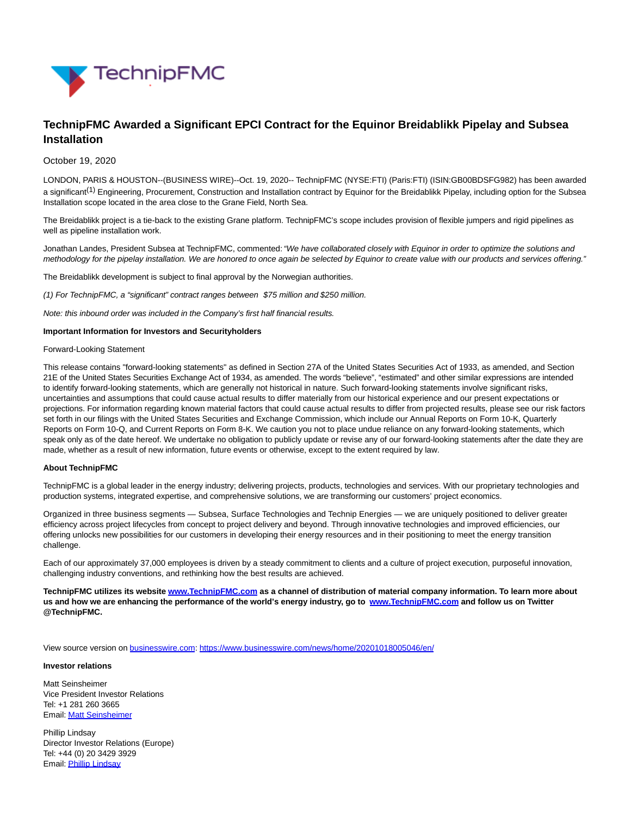

# **TechnipFMC Awarded a Significant EPCI Contract for the Equinor Breidablikk Pipelay and Subsea Installation**

### October 19, 2020

LONDON, PARIS & HOUSTON--(BUSINESS WIRE)--Oct. 19, 2020-- TechnipFMC (NYSE:FTI) (Paris:FTI) (ISIN:GB00BDSFG982) has been awarded a significant<sup>(1)</sup> Engineering, Procurement, Construction and Installation contract by Equinor for the Breidablikk Pipelay, including option for the Subsea Installation scope located in the area close to the Grane Field, North Sea.

The Breidablikk project is a tie-back to the existing Grane platform. TechnipFMC's scope includes provision of flexible jumpers and rigid pipelines as well as pipeline installation work.

Jonathan Landes, President Subsea at TechnipFMC, commented: "We have collaborated closely with Equinor in order to optimize the solutions and methodology for the pipelay installation. We are honored to once again be selected by Equinor to create value with our products and services offering."

The Breidablikk development is subject to final approval by the Norwegian authorities.

(1) For TechnipFMC, a "significant" contract ranges between \$75 million and \$250 million.

Note: this inbound order was included in the Company's first half financial results.

#### **Important Information for Investors and Securityholders**

#### Forward-Looking Statement

This release contains "forward-looking statements" as defined in Section 27A of the United States Securities Act of 1933, as amended, and Section 21E of the United States Securities Exchange Act of 1934, as amended. The words "believe", "estimated" and other similar expressions are intended to identify forward-looking statements, which are generally not historical in nature. Such forward-looking statements involve significant risks, uncertainties and assumptions that could cause actual results to differ materially from our historical experience and our present expectations or projections. For information regarding known material factors that could cause actual results to differ from projected results, please see our risk factors set forth in our filings with the United States Securities and Exchange Commission, which include our Annual Reports on Form 10-K, Quarterly Reports on Form 10-Q, and Current Reports on Form 8-K. We caution you not to place undue reliance on any forward-looking statements, which speak only as of the date hereof. We undertake no obligation to publicly update or revise any of our forward-looking statements after the date they are made, whether as a result of new information, future events or otherwise, except to the extent required by law.

#### **About TechnipFMC**

TechnipFMC is a global leader in the energy industry; delivering projects, products, technologies and services. With our proprietary technologies and production systems, integrated expertise, and comprehensive solutions, we are transforming our customers' project economics.

Organized in three business segments — Subsea, Surface Technologies and Technip Energies — we are uniquely positioned to deliver greater efficiency across project lifecycles from concept to project delivery and beyond. Through innovative technologies and improved efficiencies, our offering unlocks new possibilities for our customers in developing their energy resources and in their positioning to meet the energy transition challenge.

Each of our approximately 37,000 employees is driven by a steady commitment to clients and a culture of project execution, purposeful innovation, challenging industry conventions, and rethinking how the best results are achieved.

**TechnipFMC utilizes its websit[e www.TechnipFMC.com a](https://cts.businesswire.com/ct/CT?id=smartlink&url=http%3A%2F%2Fwww.TechnipFMC.com&esheet=52308537&newsitemid=20201018005046&lan=en-US&anchor=www.TechnipFMC.com&index=1&md5=f01ee76ce3c71b0e046b9fe6ac113354)s a channel of distribution of material company information. To learn more about us and how we are enhancing the performance of the world's energy industry, go to [www.TechnipFMC.com a](https://cts.businesswire.com/ct/CT?id=smartlink&url=http%3A%2F%2Fwww.TechnipFMC.com&esheet=52308537&newsitemid=20201018005046&lan=en-US&anchor=www.TechnipFMC.com&index=2&md5=9b44d22af7e70a15c610b9626f5eac97)nd follow us on Twitter @TechnipFMC.**

View source version on [businesswire.com:](http://businesswire.com/)<https://www.businesswire.com/news/home/20201018005046/en/>

#### **Investor relations**

Matt Seinsheimer Vice President Investor Relations Tel: +1 281 260 3665 Email[: Matt Seinsheimer](mailto:InvestorRelations@TechnipFMC.com)

Phillip Lindsay Director Investor Relations (Europe) Tel: +44 (0) 20 3429 3929 Email[: Phillip Lindsay](mailto:InvestorRelations@TechnipFMC.com)